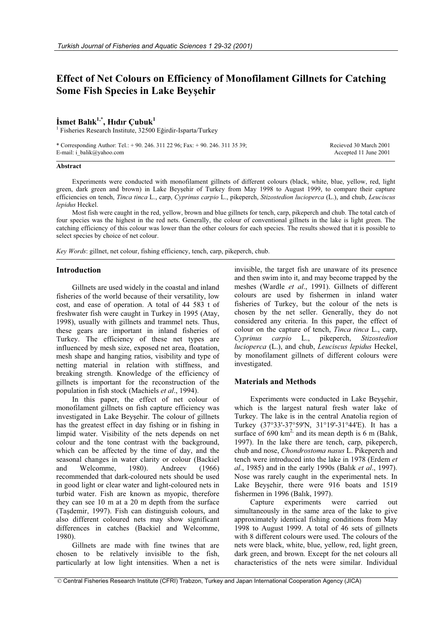# **Effect of Net Colours on Efficiency of Monofilament Gillnets for Catching Some Fish Species in Lake Beyşehir**

## **øsmet Balık1,**\* **, Hıdır Çubuk<sup>1</sup>**

<sup>1</sup> Fisheries Research Institute, 32500 Eğirdir-Isparta/Turkey

\* Corresponding Author: Tel.: + 90. 246. 311 22 96; Fax: + 90. 246. 311 35 39; E-mail: i\_balik@yahoo.com

Recieved 30 March 2001 Accepted 11 June 2001

## **Abstract**

Experiments were conducted with monofilament gillnets of different colours (black, white, blue, yellow, red, light green, dark green and brown) in Lake Beyşehir of Turkey from May 1998 to August 1999, to compare their capture efficiencies on tench, *Tinca tinca* L., carp, *Cyprinus carpio* L., pikeperch, *Stizostedion lucioperca* (L.), and chub, *Leuciscus lepidus* Heckel.

Most fish were caught in the red, yellow, brown and blue gillnets for tench, carp, pikeperch and chub. The total catch of four species was the highest in the red nets. Generally, the colour of conventional gillnets in the lake is light green. The catching efficiency of this colour was lower than the other colours for each species. The results showed that it is possible to select species by choice of net colour.

*Key Words*: gillnet, net colour, fishing efficiency, tench, carp, pikeperch, chub.

## **Introduction**

Gillnets are used widely in the coastal and inland fisheries of the world because of their versatility, low cost, and ease of operation. A total of 44 583 t of freshwater fish were caught in Turkey in 1995 (Atay, 1998), usually with gillnets and trammel nets. Thus, these gears are important in inland fisheries of Turkey. The efficiency of these net types are influenced by mesh size, exposed net area, floatation, mesh shape and hanging ratios, visibility and type of netting material in relation with stiffness, and breaking strength. Knowledge of the efficiency of gillnets is important for the reconstruction of the population in fish stock (Machiels *et al*., 1994).

In this paper, the effect of net colour of monofilament gillnets on fish capture efficiency was investigated in Lake Beyşehir. The colour of gillnets has the greatest effect in day fishing or in fishing in limpid water. Visibility of the nets depends on net colour and the tone contrast with the background, which can be affected by the time of day, and the seasonal changes in water clarity or colour (Backiel and Welcomme, 1980). Andreev (1966) recommended that dark-coloured nets should be used in good light or clear water and light-coloured nets in turbid water. Fish are known as myopic, therefore they can see 10 m at a 20 m depth from the surface (Taşdemir, 1997). Fish can distinguish colours, and also different coloured nets may show significant differences in catches (Backiel and Welcomme, 1980).

Gillnets are made with fine twines that are chosen to be relatively invisible to the fish, particularly at low light intensities. When a net is

invisible, the target fish are unaware of its presence and then swim into it, and may become trapped by the meshes (Wardle *et al*., 1991). Gillnets of different colours are used by fishermen in inland water fisheries of Turkey, but the colour of the nets is chosen by the net seller. Generally, they do not considered any criteria. In this paper, the effect of colour on the capture of tench, *Tinca tinca* L., carp, *Cyprinus carpio* L., pikeperch, *Stizostedion lucioperca* (L.), and chub, *Leuciscus lepidus* Heckel, by monofilament gillnets of different colours were investigated.

## **Materials and Methods**

Experiments were conducted in Lake Beyşehir, which is the largest natural fresh water lake of Turkey. The lake is in the central Anatolia region of Turkey (37°33'-37°59'N, 31°19'-31°44'E). It has a surface of 690 km<sup>2,</sup> and its mean depth is 6 m (Balık, 1997). In the lake there are tench, carp, pikeperch, chub and nose, *Chondrostoma nasus* L. Pikeperch and tench were introduced into the lake in 1978 (Erdem *et al*., 1985) and in the early 1990s (Balık *et al*., 1997). Nose was rarely caught in the experimental nets. In Lake Beyşehir, there were 916 boats and 1519 fishermen in 1996 (Balık, 1997).

Capture experiments were carried out simultaneously in the same area of the lake to give approximately identical fishing conditions from May 1998 to August 1999. A total of 46 sets of gillnets with 8 different colours were used. The colours of the nets were black, white, blue, yellow, red, light green, dark green, and brown. Except for the net colours all characteristics of the nets were similar. Individual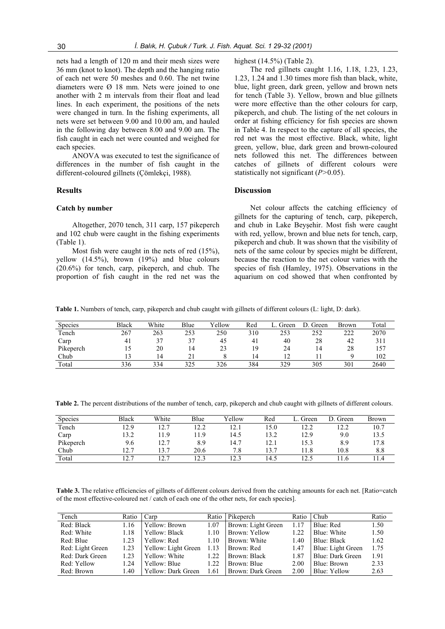nets had a length of 120 m and their mesh sizes were 36 mm (knot to knot). The depth and the hanging ratio of each net were 50 meshes and 0.60. The net twine diameters were Ø 18 mm. Nets were joined to one another with 2 m intervals from their float and lead lines. In each experiment, the positions of the nets were changed in turn. In the fishing experiments, all nets were set between 9.00 and 10.00 am, and hauled in the following day between 8.00 and 9.00 am. The fish caught in each net were counted and weighed for each species.

ANOVA was executed to test the significance of differences in the number of fish caught in the different-coloured gillnets (Çömlekçi, 1988).

#### **Results**

## **Catch by number**

Altogether, 2070 tench, 311 carp, 157 pikeperch and 102 chub were caught in the fishing experiments (Table 1).

Most fish were caught in the nets of red (15%), yellow  $(14.5\%)$ , brown  $(19\%)$  and blue colours (20.6%) for tench, carp, pikeperch, and chub. The proportion of fish caught in the red net was the highest (14.5%) (Table 2).

The red gillnets caught 1.16, 1.18, 1.23, 1.23, 1.23, 1.24 and 1.30 times more fish than black, white, blue, light green, dark green, yellow and brown nets for tench (Table 3). Yellow, brown and blue gillnets were more effective than the other colours for carp, pikeperch, and chub. The listing of the net colours in order at fishing efficiency for fish species are shown in Table 4. In respect to the capture of all species, the red net was the most effective. Black, white, light green, yellow, blue, dark green and brown-coloured nets followed this net. The differences between catches of gillnets of different colours were statistically not significant (*P>*0.05).

#### **Discussion**

Net colour affects the catching efficiency of gillnets for the capturing of tench, carp, pikeperch, and chub in Lake Beyşehir. Most fish were caught with red, yellow, brown and blue nets for tench, carp, pikeperch and chub. It was shown that the visibility of nets of the same colour by species might be different, because the reaction to the net colour varies with the species of fish (Hamley, 1975). Observations in the aquarium on cod showed that when confronted by

**Table 1.** Numbers of tench, carp, pikeperch and chub caught with gillnets of different colours (L: light, D: dark).

| <b>Species</b> | Black | White | Blue | Vellow | Red | Green | D. Green | Brown | Total |
|----------------|-------|-------|------|--------|-----|-------|----------|-------|-------|
| Tench          | 267   | 263   | 253  | 250    | 310 | 253   | 252      | 222   | 2070  |
| Carp           | 41    | 37    | 37   | 45     | 41  | 40    | 28       | 42    | 311   |
| Pikeperch      | 15    | 20    | 14   | 23     | 19  | 24    | 14       | 28    | 157   |
| Chub           |       | ا 4   |      |        | 14  |       |          |       | 102   |
| Total          | 336   | 334   | 325  | 326    | 384 | 329   | 305      | 301   | 2640  |

**Table 2.** The percent distributions of the number of tench, carp, pikeperch and chub caught with gillnets of different colours.

| <b>Species</b> | <b>Black</b> | White | Blue | Yellow | Red  | Green | D. Green | Brown   |
|----------------|--------------|-------|------|--------|------|-------|----------|---------|
| Tench          | 12.9         | 12.7  | 12.2 | 12.1   | 15.0 | 12.2  | 12.2     | 10.7    |
| Carp           | 13.2         | 11.9  | 11.9 | 14.5   | 13.2 | 12.9  | 9.0      | 13.5    |
| Pikeperch      | 9.6          | 12.7  | 8.9  | 14.7   | 12.1 | 15.3  | 8.9      | l 7.8   |
| Chub           | 12.7         | 13.7  | 20.6 | 7.8    | 13.7 | 1.8   | 10.8     | 8.8     |
| Total          | 12.7         | 12.7  | 12.3 | 12.3   | 14.5 | 12.5  | 1.6      | . I . 4 |

Table 3. The relative efficiencies of gillnets of different colours derived from the catching amounts for each net. [Ratio=catch of the most effective-coloured net / catch of each one of the other nets, for each species].

| Tench            | Ratio | Carp                | Ratio | Pikeperch          | Ratio | Chub              | Ratio |
|------------------|-------|---------------------|-------|--------------------|-------|-------------------|-------|
| Red: Black       | 1.16  | Yellow: Brown       | 1.07  | Brown: Light Green | 1.17  | Blue: Red         | 1.50  |
| Red: White       | 1.18  | Yellow: Black       | 1.10  | Brown: Yellow      | 1.22  | Blue: White       | 1.50  |
| Red: Blue        | 1.23  | Yellow: Red         | 1.10  | Brown: White       | 1.40  | Blue: Black       | 1.62  |
| Red: Light Green | 1.23  | Yellow: Light Green | 1.13  | Brown: Red         | 1.47  | Blue: Light Green | 1.75  |
| Red: Dark Green  | 1.23  | Yellow: White       | 1.22  | Brown: Black       | 1.87  | Blue: Dark Green  | 1.91  |
| Red: Yellow      | 1.24  | Yellow: Blue        | 1.22  | Brown: Blue        | 2.00  | Blue: Brown       | 2.33  |
| Red: Brown       | 1.40  | Yellow: Dark Green  | 1.61  | Brown: Dark Green  | 2.00  | Blue: Yellow      | 2.63  |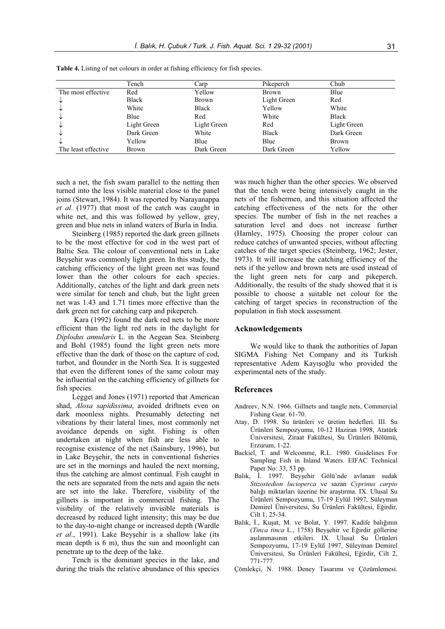|                     | Tench        | Carp         | Pikeperch    | Chub         |
|---------------------|--------------|--------------|--------------|--------------|
| The most effective  | Red          | Yellow       | <b>Brown</b> | Blue         |
| ↓                   | <b>Black</b> | Brown        | Light Green  | Red          |
| ◡                   | White        | <b>Black</b> | Yellow       | White        |
| ◡                   | Blue         | Red          | White        | Black        |
| ◡                   | Light Green  | Light Green  | Red          | Light Green  |
| ◡                   | Dark Green   | White        | <b>Black</b> | Dark Green   |
| V                   | Yellow       | Blue         | Blue         | <b>Brown</b> |
| The least effective | <b>Brown</b> | Dark Green   | Dark Green   | Yellow       |

**Table 4.** Listing of net colours in order at fishing efficiency for fish species.

such a net, the fish swam parallel to the netting then turned into the less visible material close to the panel joins (Stewart, 1984). It was reported by Narayanappa *et al*. (1977) that most of the catch was caught in white net, and this was followed by yellow, grey, green and blue nets in inland waters of Burla in India.

Steinberg (1985) reported the dark green gillnets to be the most effective for cod in the west part of Baltic Sea. The colour of conventional nets in Lake Beyşehir was commonly light green. In this study, the catching efficiency of the light green net was found lower than the other colours for each species. Additionally, catches of the light and dark green nets were similar for tench and chub, but the light green net was 1.43 and 1.71 times more effective than the dark green net for catching carp and pikeperch.

Kara (1992) found the dark red nets to be more efficient than the light red nets in the daylight for *Diplodus annularis* L. in the Aegean Sea. Steinberg and Bohl (1985) found the light green nets more effective than the dark of those on the capture of cod, turbot, and flounder in the North Sea. It is suggested that even the different tones of the same colour may be influential on the catching efficiency of gillnets for fish species.

Legget and Jones (1971) reported that American shad, *Alosa sapidissima*, avoided driftnets even on dark moonless nights. Presumably detecting net vibrations by their lateral lines, most commonly net avoidance depends on sight. Fishing is often undertaken at night when fish are less able to recognise existence of the net (Sainsbury, 1996), but in Lake Beysehir, the nets in conventional fisheries are set in the mornings and hauled the next morning, thus the catching are almost continual. Fish caught in the nets are separated from the nets and again the nets are set into the lake. Therefore, visibility of the gillnets is important in commercial fishing. The visibility of the relatively invisible materials is decreased by reduced light intensity; this may be due to the day-to-night change or increased depth (Wardle *et al.*, 1991). Lake Beysehir is a shallow lake (its mean depth is 6 m), thus the sun and moonlight can penetrate up to the deep of the lake.

Tench is the dominant species in the lake, and during the trials the relative abundance of this species was much higher than the other species. We observed that the tench were being intensively caught in the nets of the fishermen, and this situation affected the catching effectiveness of the nets for the other species. The number of fish in the net reaches a saturation level and does not increase further (Hamley, 1975). Choosing the proper colour can reduce catches of unwanted species, without affecting catches of the target species (Steinberg, 1962; Jester, 1973). It will increase the catching efficiency of the nets if the yellow and brown nets are used instead of the light green nets for carp and pikeperch. Additionally, the results of the study showed that it is possible to choose a suitable net colour for the catching of target species in reconstruction of the population in fish stock assessment.

#### **Acknowledgements**

We would like to thank the authorities of Japan SIGMA Fishing Net Company and its Turkish representative Adem Kayışoğlu who provided the experimental nets of the study.

#### **References**

- Andreev, N.N. 1966. Gillnets and tangle nets, Commercial Fishing Gear. 61-70.
- Atay, D. 1998. Su ürünleri ve üretim hedefleri. III. Su Ürünleri Sempozyumu, 10-12 Haziran 1998, Atatürk Üniversitesi, Ziraat Fakültesi, Su Ürünleri Bölümü, Erzurum, 1-22.
- Backiel, T. and Welcomme, R.L. 1980. Guidelines For Sampling Fish in Inland Waters. EIFAC Technical Paper No: 33, 53 pp.
- Balık, İ. 1997. Beyşehir Gölü'nde avlanan sudak *Stizostedion lucioperca* ve sazan *Cyprinus carpio* balığı miktarları üzerine bir araştırma. IX. Ulusal Su Ürünleri Sempozyumu, 17-19 Eylül 1997, Süleyman Demirel Üniversitesi, Su Ürünleri Fakültesi, Eğirdir, Cilt 1, 25-34.
- Balık, İ., Kuşat, M. ve Bolat, Y. 1997. Kadife balığının (*Tinca tinca* L., 1758) Beyşehir ve Eğirdir göllerine aşılanmasının etkileri. IX. Ulusal Su Ürünleri Sempozyumu, 17-19 Eylül 1997, Süleyman Demirel Üniversitesi, Su Ürünleri Fakültesi, Eğirdir, Cilt 2, 771-777.
- Çömlekçi, N. 1988. Deney Tasarımı ve Çözümlemesi.